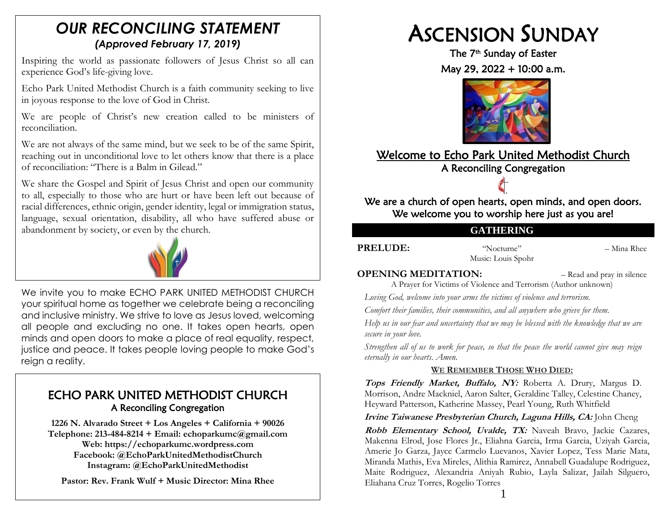# *OUR RECONCILING STATEMENT (Approved February 17, 2019)*

Inspiring the world as passionate followers of Jesus Christ so all can experience God's life-giving love.

Echo Park United Methodist Church is a faith community seeking to live in joyous response to the love of God in Christ.

We are people of Christ's new creation called to be ministers of reconciliation.

We are not always of the same mind, but we seek to be of the same Spirit, reaching out in unconditional love to let others know that there is a place of reconciliation: "There is a Balm in Gilead."

We share the Gospel and Spirit of Jesus Christ and open our community to all, especially to those who are hurt or have been left out because of racial differences, ethnic origin, gender identity, legal or immigration status, language, sexual orientation, disability, all who have suffered abuse or abandonment by society, or even by the church.



We invite you to make ECHO PARK UNITED METHODIST CHURCH your spiritual home as together we celebrate being a reconciling and inclusive ministry. We strive to love as Jesus loved, welcoming all people and excluding no one. It takes open hearts, open minds and open doors to make a place of real equality, respect, justice and peace. It takes people loving people to make God's reign a reality.

# ECHO PARK UNITED METHODIST CHURCH A Reconciling Congregation

**1226 N. Alvarado Street + Los Angeles + California + 90026 Telephone: 213-484-8214 + Email: echoparkumc@gmail.com Web: https://echoparkumc.wordpress.com Facebook: @EchoParkUnitedMethodistChurch Instagram: @EchoParkUnitedMethodist**

**Pastor: Rev. Frank Wulf + Music Director: Mina Rhee**

# ASCENSION SUNDAY

The 7<sup>th</sup> Sunday of Easter May 29, 2022 + 10:00 a.m.



# Welcome to Echo Park United Methodist Church A Reconciling Congregation

We are a church of open hearts, open minds, and open doors. We welcome you to worship here just as you are!

# **GATHERING**

**PRELUDE:** "Nocturne" – Mina Rhee Music: Louis Spohr

# **OPENING MEDITATION:**  $-$  Read and pray in silence

A Prayer for Victims of Violence and Terrorism (Author unknown)

*Loving God, welcome into your arms the victims of violence and terrorism.*

*Comfort their families, their communities, and all anywhere who grieve for them.*

*Help us in our fear and uncertainty that we may be blessed with the knowledge that we are secure in your love.*

*Strengthen all of us to work for peace, so that the peace the world cannot give may reign eternally in our hearts. Amen.*

# **WE REMEMBER THOSE WHO DIED:**

**Tops Friendly Market, Buffalo, NY:** Roberta A. Drury, Margus D. Morrison, Andre Mackniel, Aaron Salter, Geraldine Talley, Celestine Chaney, Heyward Patterson, Katherine Massey, Pearl Young, Ruth Whitfield

# **Irvine Taiwanese Presbyterian Church, Laguna Hills, CA:** John Cheng

**Robb Elementary School, Uvalde, TX:** Naveah Bravo, Jackie Cazares, Makenna Elrod, Jose Flores Jr., Eliahna Garcia, Irma Garcia, Uziyah Garcia, Amerie Jo Garza, Jayce Carmelo Luevanos, Xavier Lopez, Tess Marie Mata, Miranda Mathis, Eva Mireles, Alithia Ramirez, Annabell Guadalupe Rodriguez, Maite Rodriguez, Alexandria Aniyah Rubio, Layla Salizar, Jailah Silguero, Eliahana Cruz Torres, Rogelio Torres

1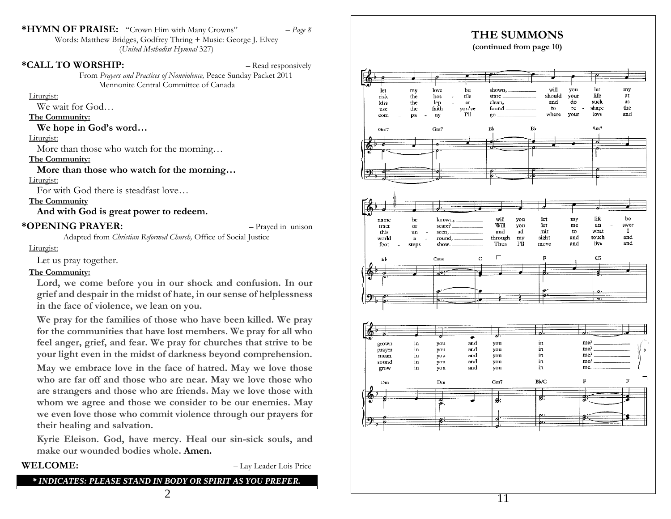\*HYMN OF PRAISE: "Crown Him with Many Crowns" – *Page 8* Words: Matthew Bridges, Godfrey Thring + Music: George J. Elvey (*United Methodist Hymnal* 327)

#### **\*CALL TO WORSHIP:**

– Read responsively

let

risk

lriss

use

com

Gm7

name

tract

this

world

foot

grown

prayer

mean

sound

grow

Dm

– Prayed in unison

From *Prayers and Practices of Nonviolence,* Peace Sunday Packet 2011 Mennonite Central Committee of Canada

#### Liturgist:

We wait for God …

#### **The Community:**

**We hope in God's word …**

#### Liturgist:

More than those who watch for the morning …

#### **The Community:**

**More than those who watch for the morning …** Liturgist:

For with God there is steadfast love …

#### **The Community**

**And with God is great power to redeem.**

#### **\*OPENING PRAYER:**

Adapted from *Christian Reformed Church,* Office of Social Justice

#### Liturgist:

Let us pray together.

#### **The Community:**

**Lord, we come before you in our shock and confusion. In our grief and despair in the midst of hate, in our sense of helplessness in the face of violence, we lean on you.**

**We pray for the families of those who have been killed. We pray for the communities that have lost members. We pray for all who feel anger, grief, and fear. We pray for churches that strive to be your light even in the midst of darkness beyond comprehension.**

**May we embrace love in the face of hatred. May we love those who are far off and those who are near. May we love those who are strangers and those who are friends. May we love those with who m we agree and those we consider to be our enemies. May we even love those who commit violence through our prayers for their healing and salvation.**

**Kyrie Eleison. God, have mercy. Heal our sin -sick souls, and make our wounded bodies whole. Amen.**

#### **WELCOME :**

#### – Lay Leader Lois Price



**THE SUMMONS (continued from page 10)**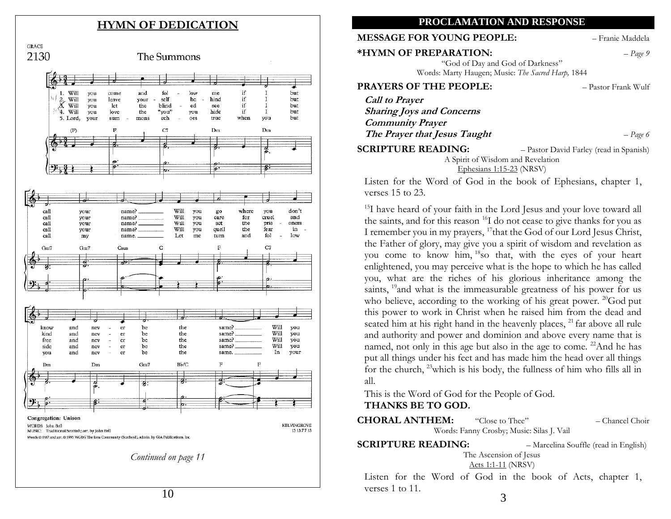## **HYMN OF DEDICATION**



# **PROCLAMATION AND RESPONSE**

#### **MESSAGE FOR YOUNG PEOPLE:** – Franie Maddela

**\*HYMN OF PREPARATION:** – *Page 9*

"God of Day and God of Darkness" Words: Marty Haugen; Music: *The Sacred Harp,* 1844

**PRAYERS OF THE PEOPLE:**  $-$  Pastor Frank Wulf **Call to Prayer**

**Sharing Joys and Concerns Community Prayer The Prayer that Jesus Taught** – *Page 6*

**SCRIPTURE READING:**  $-$  Pastor David Farley (read in Spanish) A Spirit of Wisdom and Revelation [Ephesians 1:15-23](https://www.biblegateway.com/passage/?search=Ephesians+1%3A15-23&version=NRSVUE) (NRSV)

Listen for the Word of God in the book of Ephesians, chapter 1, verses 15 to 23.

<sup>15</sup>I have heard of your faith in the Lord Jesus and your love toward all the saints, and for this reason <sup>16</sup>I do not cease to give thanks for you as I remember you in my prayers, <sup>17</sup>that the God of our Lord Jesus Christ, the Father of glory, may give you a spirit of wisdom and revelation as you come to know him, <sup>18</sup>so that, with the eyes of your heart enlightened, you may perceive what is the hope to which he has called you, what are the riches of his glorious inheritance among the saints, <sup>19</sup>and what is the immeasurable greatness of his power for us who believe, according to the working of his great power. <sup>20</sup>God put this power to work in Christ when he raised him from the dead and seated him at his right hand in the heavenly places, <sup>21</sup> far above all rule and authority and power and dominion and above every name that is named, not only in this age but also in the age to come. <sup>22</sup>And he has put all things under his feet and has made him the head over all things for the church, <sup>23</sup>which is his body, the fullness of him who fills all in all.

This is the Word of God for the People of God. **THANKS BE TO GOD.**

**CHORAL ANTHEM:** "Close to Thee" – Chancel Choir Words: Fanny Crosby; Music: Silas J. Vail **SCRIPTURE READING:** – Marcelina Souffle (read in English)

The Ascension of Jesus [Acts 1:1-11](https://www.biblegateway.com/passage/?search=Acts+1%3A1-11&version=NRSVUE) (NRSV)

Listen for the Word of God in the book of Acts, chapter 1, verses 1 to 11.

10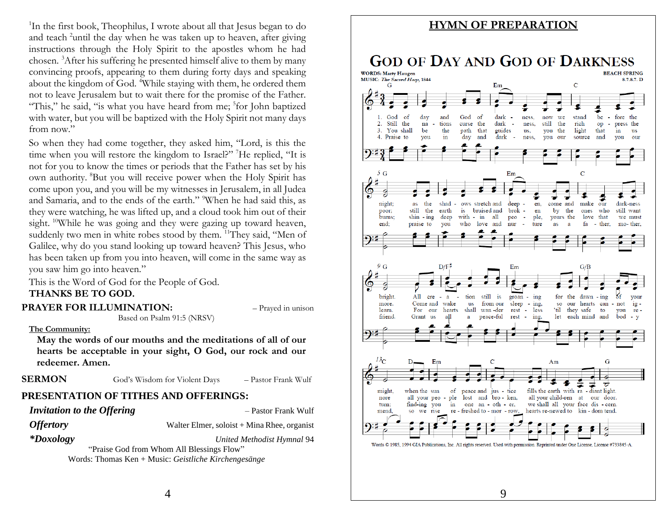$^{\text{1}}$ In the first book, Theophilus, I wrote about all that Jesus began to do **HYMN OF PREPARATION** and teach <sup>2</sup>until the day when he was taken up to heaven, after giving instructions through the Holy Spirit to the apostles whom he had chosen. <sup>3</sup>After his suffering he presented himself alive to them by many convincing proofs, appearing to them during forty days and speaking about the kingdom of God. <sup>4</sup>While staying with them, he ordered them not to leave Jerusalem but to wait there for the promise of the Father. "This," he said, "is what you have heard from me; <sup>5</sup>for John baptized with water, but you will be baptized with the Holy Spirit not many days from now."

So when they had come together, they asked him, "Lord, is this the time when you will restore the kingdom to Israel?" <sup>7</sup>He replied, "It is not for you to know the times or periods that the Father has set by his own authority. <sup>8</sup>But you will receive power when the Holy Spirit has come upon you, and you will be my witnesses in Jerusalem, in all Judea and Samaria, and to the ends of the earth." <sup>9</sup>When he had said this, as they were watching, he was lifted up, and a cloud took him out of their sight. <sup>10</sup>While he was going and they were gazing up toward heaven, suddenly two men in white robes stood by them. <sup>11</sup>They said, "Men of Galilee, why do you stand looking up toward heaven? This Jesus, who has been taken up from you into heaven, will come in the same way as you saw him go into heaven."

This is the Word of God for the People of God. **THANKS BE TO GOD.**

#### **PRAYER FOR ILLUMINATION:**  $-$  Prayed in unison

Based on Psalm 91:5 (NRSV)

#### **The Community:**

**May the words of our mouths and the meditations of all of our hearts be acceptable in your sight, O God, our rock and our redeemer. Amen.**

**SERMON** God's Wisdom for Violent Days - Pastor Frank Wulf

# **PRESENTATION OF TITHES AND OFFERINGS:**

*Invitation to the Offering* – Pastor Frank Wulf

*Offertory* Walter Elmer, soloist + Mina Rhee, organist

*\*Doxology United Methodist Hymnal* 94

"Praise God from Whom All Blessings Flow" Words: Thomas Ken + Music: *Geistliche Kirchengesänge*



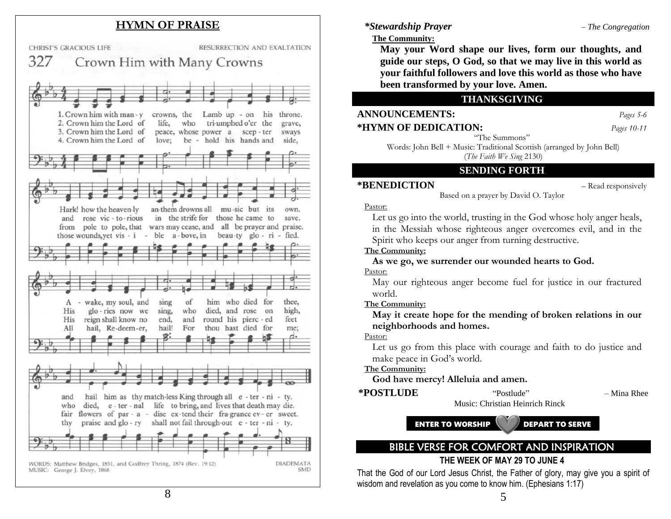# **HYMN OF PRAISE**



8

| *Stewardship Prayer                                                                          |                                                                                                                                                                                                                                                                                                                                                                                                                                                                  | $-$ The Congregation |
|----------------------------------------------------------------------------------------------|------------------------------------------------------------------------------------------------------------------------------------------------------------------------------------------------------------------------------------------------------------------------------------------------------------------------------------------------------------------------------------------------------------------------------------------------------------------|----------------------|
| <b>The Community:</b>                                                                        | May your Word shape our lives, form our thoughts, and<br>guide our steps, O God, so that we may live in this world as<br>your faithful followers and love this world as those who have                                                                                                                                                                                                                                                                           |                      |
| been transformed by your love. Amen.                                                         |                                                                                                                                                                                                                                                                                                                                                                                                                                                                  |                      |
|                                                                                              | <b>THANKSGIVING</b>                                                                                                                                                                                                                                                                                                                                                                                                                                              |                      |
| <b>ANNOUNCEMENTS:</b>                                                                        |                                                                                                                                                                                                                                                                                                                                                                                                                                                                  | Pages 5-6            |
| *HYMN OF DEDICATION:                                                                         |                                                                                                                                                                                                                                                                                                                                                                                                                                                                  | Pages 10-11          |
|                                                                                              | "The Summons"<br>Words: John Bell + Music: Traditional Scottish (arranged by John Bell)<br>(The Faith We Sing 2130)                                                                                                                                                                                                                                                                                                                                              |                      |
|                                                                                              | <b>SENDING FORTH</b>                                                                                                                                                                                                                                                                                                                                                                                                                                             |                      |
| *BENEDICTION                                                                                 |                                                                                                                                                                                                                                                                                                                                                                                                                                                                  | - Read responsively  |
|                                                                                              | Based on a prayer by David O. Taylor                                                                                                                                                                                                                                                                                                                                                                                                                             |                      |
| The Community:<br>Pastor:<br>world.<br>The Community:<br>neighborhoods and homes.<br>Pastor: | Let us go into the world, trusting in the God whose holy anger heals,<br>in the Messiah whose righteous anger overcomes evil, and in the<br>Spirit who keeps our anger from turning destructive.<br>As we go, we surrender our wounded hearts to God.<br>May our righteous anger become fuel for justice in our fractured<br>May it create hope for the mending of broken relations in our<br>Let us go from this place with courage and faith to do justice and |                      |
| make peace in God's world.<br>The Community:                                                 | God have mercy! Alleluia and amen.                                                                                                                                                                                                                                                                                                                                                                                                                               |                      |
| *POSTLUDE                                                                                    | "Postlude"<br>Music: Christian Heinrich Rinck                                                                                                                                                                                                                                                                                                                                                                                                                    | - Mina Rhee          |
|                                                                                              | <b>ENTER TO WORSHIP</b><br><b>DEPART TO SERVE</b><br>BIBLE VERSE FOR COMFORT AND INSPIRATION<br>THE WEEK OF MAY 29 TO JUNE 4                                                                                                                                                                                                                                                                                                                                     |                      |

That the God of our Lord Jesus Christ, the Father of glory, may give you a spirit of wisdom and revelation as you come to know him. (Ephesians 1:17)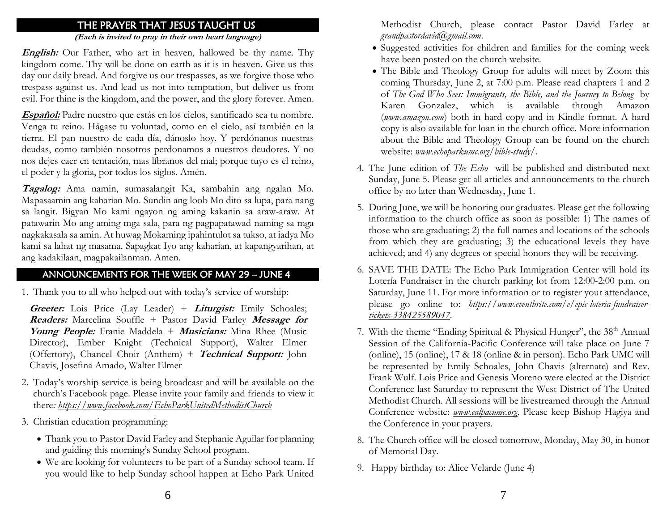# THE PRAYER THAT JESUS TAUGHT US

**(Each is invited to pray in their own heart language)**

**English:** Our Father, who art in heaven, hallowed be thy name. Thy kingdom come. Thy will be done on earth as it is in heaven. Give us this day our daily bread. And forgive us our trespasses, as we forgive those who trespass against us. And lead us not into temptation, but deliver us from evil. For thine is the kingdom, and the power, and the glory forever. Amen.

**Español:** Padre nuestro que estás en los cielos, santificado sea tu nombre. Venga tu reino. Hágase tu voluntad, como en el cielo, así también en la tierra. El pan nuestro de cada día, dánoslo hoy. Y perdónanos nuestras deudas, como también nosotros perdonamos a nuestros deudores. Y no nos dejes caer en tentación, mas líbranos del mal; porque tuyo es el reino, el poder y la gloria, por todos los siglos. Amén.

**Tagalog:** Ama namin, sumasalangit Ka, sambahin ang ngalan Mo. Mapasaamin ang kaharian Mo. Sundin ang loob Mo dito sa lupa, para nang sa langit. Bigyan Mo kami ngayon ng aming kakanin sa araw-araw. At patawarin Mo ang aming mga sala, para ng pagpapatawad naming sa mga nagkakasala sa amin. At huwag Mokaming ipahintulot sa tukso, at iadya Mo kami sa lahat ng masama. Sapagkat Iyo ang kaharian, at kapangyarihan, at ang kadakilaan, magpakailanman. Amen.

# ANNOUNCEMENTS FOR THE WEEK OF MAY 29 – JUNE 4

1. Thank you to all who helped out with today's service of worship:

**Greeter:** Lois Price (Lay Leader) + **Liturgist:** Emily Schoales; **Readers:** Marcelina Souffle + Pastor David Farley **Message for Young People:** Franie Maddela + **Musicians:** Mina Rhee (Music Director), Ember Knight (Technical Support), Walter Elmer (Offertory), Chancel Choir (Anthem) + **Technical Support:** John Chavis, Josefina Amado, Walter Elmer

- 2. Today's worship service is being broadcast and will be available on the church's Facebook page. Please invite your family and friends to view it there*:<https://www.facebook.com/EchoParkUnitedMethodistChurch>*
- 3. Christian education programming:
	- Thank you to Pastor David Farley and Stephanie Aguilar for planning and guiding this morning's Sunday School program.
	- We are looking for volunteers to be part of a Sunday school team. If you would like to help Sunday school happen at Echo Park United

Methodist Church, please contact Pastor David Farley at *grandpastordavid@gmail.com*.

- Suggested activities for children and families for the coming week have been posted on the church website.
- The Bible and Theology Group for adults will meet by Zoom this coming Thursday, June 2, at 7:00 p.m. Please read chapters 1 and 2 of *The God Who Sees: Immigrants, the Bible, and the Journey to Belong* by Karen Gonzalez, which is available through Amazon (*www.amazon.com*) both in hard copy and in Kindle format. A hard copy is also available for loan in the church office. More information about the Bible and Theology Group can be found on the church website: *www.echoparkumc.org/bible-study/.*
- 4. The June edition of *The Echo* will be published and distributed next Sunday, June 5. Please get all articles and announcements to the church office by no later than Wednesday, June 1.
- 5. During June, we will be honoring our graduates. Please get the following information to the church office as soon as possible: 1) The names of those who are graduating; 2) the full names and locations of the schools from which they are graduating; 3) the educational levels they have achieved; and 4) any degrees or special honors they will be receiving.
- 6. SAVE THE DATE: The Echo Park Immigration Center will hold its Lotería Fundraiser in the church parking lot from 12:00-2:00 p.m. on Saturday, June 11. For more information or to register your attendance, please go online to: *[https://www.eventbrite.com/e/epic-loteria-fundraiser](https://www.eventbrite.com/e/epic-loteria-fundraiser-tickets-338425589047)[tickets-338425589047.](https://www.eventbrite.com/e/epic-loteria-fundraiser-tickets-338425589047)*
- 7. With the theme "Ending Spiritual & Physical Hunger", the 38<sup>th</sup> Annual Session of the California-Pacific Conference will take place on June 7 (online), 15 (online), 17 & 18 (online & in person). Echo Park UMC will be represented by Emily Schoales, John Chavis (alternate) and Rev. Frank Wulf. Lois Price and Genesis Moreno were elected at the District Conference last Saturday to represent the West District of The United Methodist Church. All sessions will be livestreamed through the Annual Conference website: *[www.calpacumc.org](http://www.calpacumc.org/)*. Please keep Bishop Hagiya and the Conference in your prayers.
- 8. The Church office will be closed tomorrow, Monday, May 30, in honor of Memorial Day.
- 9. Happy birthday to: Alice Velarde (June 4)